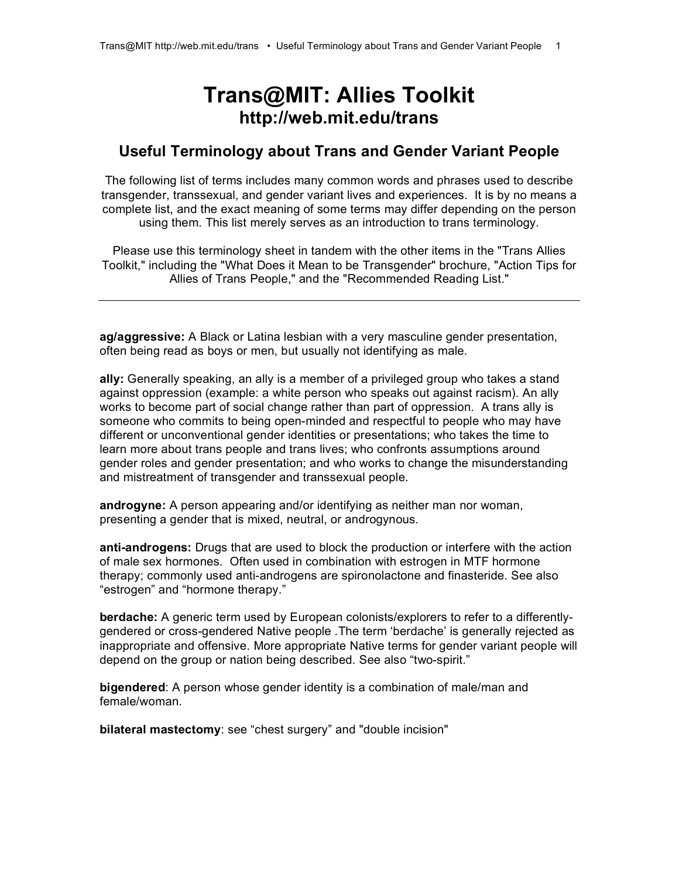# **Trans@MIT: Allies Toolkit http://web.mit.edu/trans**

# **Useful Terminology about Trans and Gender Variant People**

The following list of terms includes many common words and phrases used to describe transgender, transsexual, and gender variant lives and experiences. It is by no means a complete list, and the exact meaning of some terms may differ depending on the person using them. This list merely serves as an introduction to trans terminology.

Please use this terminology sheet in tandem with the other items in the "Trans Allies Toolkit," including the "What Does it Mean to be Transgender" brochure, "Action Tips for Allies of Trans People," and the "Recommended Reading List."

**ag/aggressive:** A Black or Latina lesbian with a very masculine gender presentation, often being read as boys or men, but usually not identifying as male.

**ally:** Generally speaking, an ally is a member of a privileged group who takes a stand against oppression (example: a white person who speaks out against racism). An ally works to become part of social change rather than part of oppression. A trans ally is someone who commits to being open-minded and respectful to people who may have different or unconventional gender identities or presentations; who takes the time to learn more about trans people and trans lives; who confronts assumptions around gender roles and gender presentation; and who works to change the misunderstanding and mistreatment of transgender and transsexual people.

**androgyne:** A person appearing and/or identifying as neither man nor woman, presenting a gender that is mixed, neutral, or androgynous.

**anti-androgens:** Drugs that are used to block the production or interfere with the action of male sex hormones. Often used in combination with estrogen in MTF hormone therapy; commonly used anti-androgens are spironolactone and finasteride. See also "estrogen" and "hormone therapy."

**berdache:** A generic term used by European colonists/explorers to refer to a differentlygendered or cross-gendered Native people .The term 'berdache' is generally rejected as inappropriate and offensive. More appropriate Native terms for gender variant people will depend on the group or nation being described. See also "two-spirit."

**bigendered**: A person whose gender identity is a combination of male/man and female/woman.

**bilateral mastectomy**: see "chest surgery" and "double incision"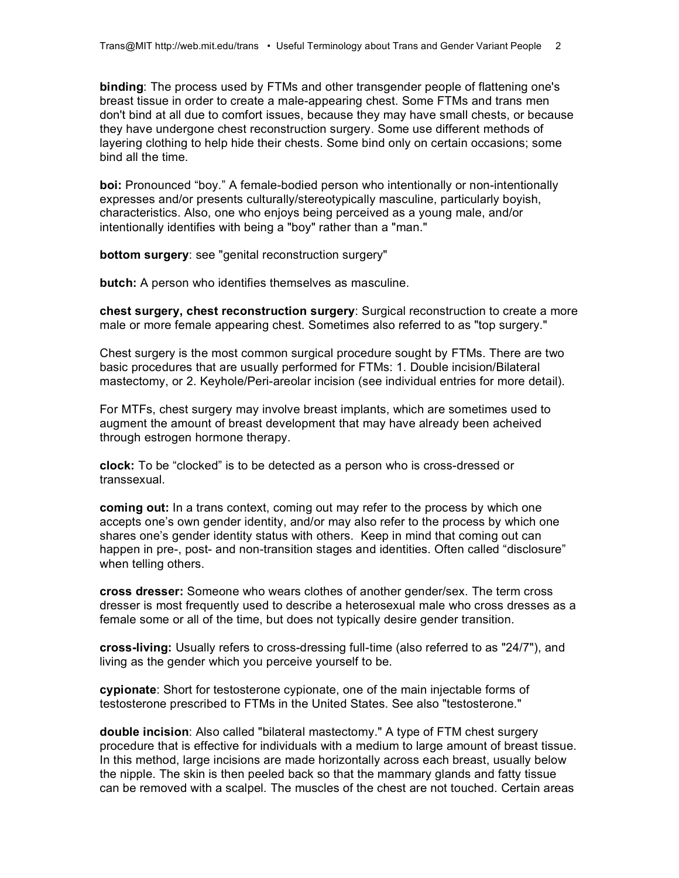**binding**: The process used by FTMs and other transgender people of flattening one's breast tissue in order to create a male-appearing chest. Some FTMs and trans men don't bind at all due to comfort issues, because they may have small chests, or because they have undergone chest reconstruction surgery. Some use different methods of layering clothing to help hide their chests. Some bind only on certain occasions; some bind all the time.

**boi:** Pronounced "boy." A female-bodied person who intentionally or non-intentionally expresses and/or presents culturally/stereotypically masculine, particularly boyish, characteristics. Also, one who enjoys being perceived as a young male, and/or intentionally identifies with being a "boy" rather than a "man."

**bottom surgery**: see "genital reconstruction surgery"

**butch:** A person who identifies themselves as masculine.

**chest surgery, chest reconstruction surgery**: Surgical reconstruction to create a more male or more female appearing chest. Sometimes also referred to as "top surgery."

Chest surgery is the most common surgical procedure sought by FTMs. There are two basic procedures that are usually performed for FTMs: 1. Double incision/Bilateral mastectomy, or 2. Keyhole/Peri-areolar incision (see individual entries for more detail).

For MTFs, chest surgery may involve breast implants, which are sometimes used to augment the amount of breast development that may have already been acheived through estrogen hormone therapy.

**clock:** To be "clocked" is to be detected as a person who is cross-dressed or transsexual.

**coming out:** In a trans context, coming out may refer to the process by which one accepts one's own gender identity, and/or may also refer to the process by which one shares one's gender identity status with others. Keep in mind that coming out can happen in pre-, post- and non-transition stages and identities. Often called "disclosure" when telling others.

**cross dresser:** Someone who wears clothes of another gender/sex. The term cross dresser is most frequently used to describe a heterosexual male who cross dresses as a female some or all of the time, but does not typically desire gender transition.

**cross-living:** Usually refers to cross-dressing full-time (also referred to as "24/7"), and living as the gender which you perceive yourself to be.

**cypionate**: Short for testosterone cypionate, one of the main injectable forms of testosterone prescribed to FTMs in the United States. See also "testosterone."

**double incision**: Also called "bilateral mastectomy." A type of FTM chest surgery procedure that is effective for individuals with a medium to large amount of breast tissue. In this method, large incisions are made horizontally across each breast, usually below the nipple. The skin is then peeled back so that the mammary glands and fatty tissue can be removed with a scalpel. The muscles of the chest are not touched. Certain areas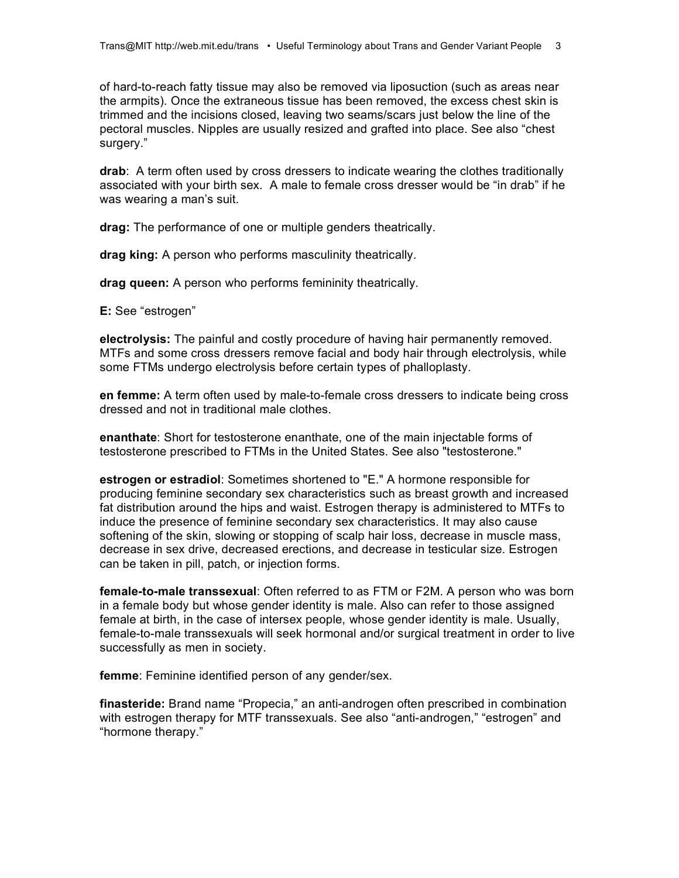of hard-to-reach fatty tissue may also be removed via liposuction (such as areas near the armpits). Once the extraneous tissue has been removed, the excess chest skin is trimmed and the incisions closed, leaving two seams/scars just below the line of the pectoral muscles. Nipples are usually resized and grafted into place. See also "chest surgery."

**drab**: A term often used by cross dressers to indicate wearing the clothes traditionally associated with your birth sex. A male to female cross dresser would be "in drab" if he was wearing a man's suit.

**drag:** The performance of one or multiple genders theatrically.

**drag king:** A person who performs masculinity theatrically.

**drag queen:** A person who performs femininity theatrically.

**E:** See "estrogen"

**electrolysis:** The painful and costly procedure of having hair permanently removed. MTFs and some cross dressers remove facial and body hair through electrolysis, while some FTMs undergo electrolysis before certain types of phalloplasty.

**en femme:** A term often used by male-to-female cross dressers to indicate being cross dressed and not in traditional male clothes.

**enanthate**: Short for testosterone enanthate, one of the main injectable forms of testosterone prescribed to FTMs in the United States. See also "testosterone."

**estrogen or estradiol**: Sometimes shortened to "E." A hormone responsible for producing feminine secondary sex characteristics such as breast growth and increased fat distribution around the hips and waist. Estrogen therapy is administered to MTFs to induce the presence of feminine secondary sex characteristics. It may also cause softening of the skin, slowing or stopping of scalp hair loss, decrease in muscle mass, decrease in sex drive, decreased erections, and decrease in testicular size. Estrogen can be taken in pill, patch, or injection forms.

**female-to-male transsexual**: Often referred to as FTM or F2M. A person who was born in a female body but whose gender identity is male. Also can refer to those assigned female at birth, in the case of intersex people, whose gender identity is male. Usually, female-to-male transsexuals will seek hormonal and/or surgical treatment in order to live successfully as men in society.

**femme**: Feminine identified person of any gender/sex.

**finasteride:** Brand name "Propecia," an anti-androgen often prescribed in combination with estrogen therapy for MTF transsexuals. See also "anti-androgen," "estrogen" and "hormone therapy."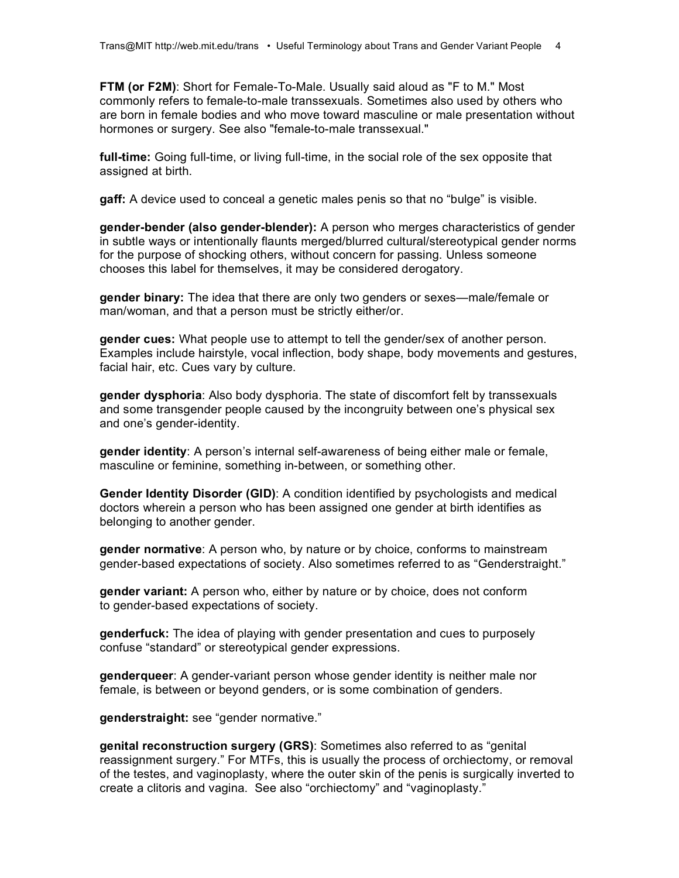**FTM (or F2M)**: Short for Female-To-Male. Usually said aloud as "F to M." Most commonly refers to female-to-male transsexuals. Sometimes also used by others who are born in female bodies and who move toward masculine or male presentation without hormones or surgery. See also "female-to-male transsexual."

**full-time:** Going full-time, or living full-time, in the social role of the sex opposite that assigned at birth.

**gaff:** A device used to conceal a genetic males penis so that no "bulge" is visible.

**gender-bender (also gender-blender):** A person who merges characteristics of gender in subtle ways or intentionally flaunts merged/blurred cultural/stereotypical gender norms for the purpose of shocking others, without concern for passing. Unless someone chooses this label for themselves, it may be considered derogatory.

**gender binary:** The idea that there are only two genders or sexes—male/female or man/woman, and that a person must be strictly either/or.

**gender cues:** What people use to attempt to tell the gender/sex of another person. Examples include hairstyle, vocal inflection, body shape, body movements and gestures, facial hair, etc. Cues vary by culture.

**gender dysphoria**: Also body dysphoria. The state of discomfort felt by transsexuals and some transgender people caused by the incongruity between one's physical sex and one's gender-identity.

**gender identity**: A person's internal self-awareness of being either male or female, masculine or feminine, something in-between, or something other.

**Gender Identity Disorder (GID)**: A condition identified by psychologists and medical doctors wherein a person who has been assigned one gender at birth identifies as belonging to another gender.

**gender normative**: A person who, by nature or by choice, conforms to mainstream gender-based expectations of society. Also sometimes referred to as "Genderstraight."

**gender variant:** A person who, either by nature or by choice, does not conform to gender-based expectations of society.

**genderfuck:** The idea of playing with gender presentation and cues to purposely confuse "standard" or stereotypical gender expressions.

**genderqueer**: A gender-variant person whose gender identity is neither male nor female, is between or beyond genders, or is some combination of genders.

**genderstraight:** see "gender normative."

**genital reconstruction surgery (GRS)**: Sometimes also referred to as "genital reassignment surgery." For MTFs, this is usually the process of orchiectomy, or removal of the testes, and vaginoplasty, where the outer skin of the penis is surgically inverted to create a clitoris and vagina. See also "orchiectomy" and "vaginoplasty."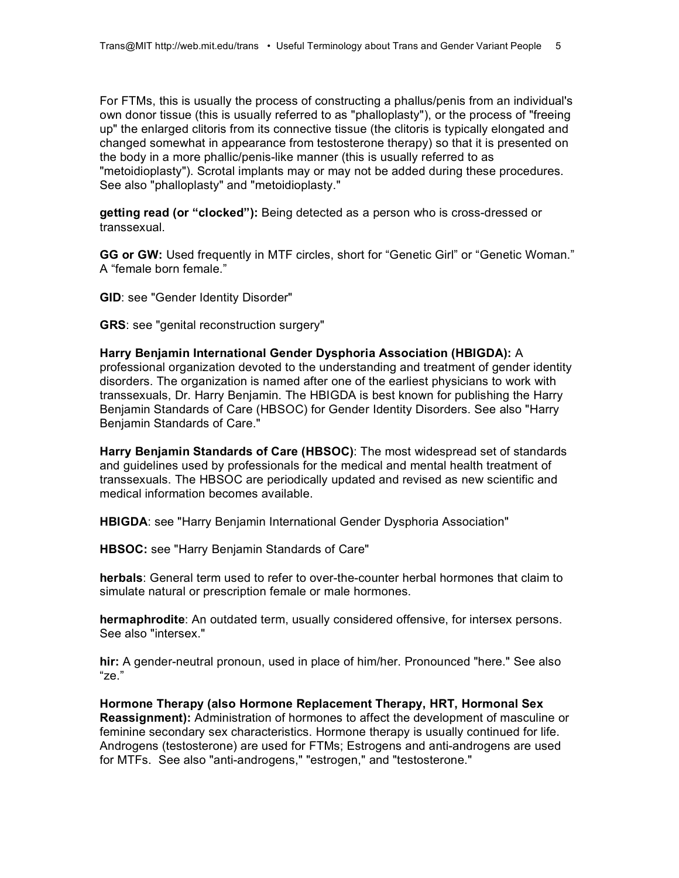For FTMs, this is usually the process of constructing a phallus/penis from an individual's own donor tissue (this is usually referred to as "phalloplasty"), or the process of "freeing up" the enlarged clitoris from its connective tissue (the clitoris is typically elongated and changed somewhat in appearance from testosterone therapy) so that it is presented on the body in a more phallic/penis-like manner (this is usually referred to as "metoidioplasty"). Scrotal implants may or may not be added during these procedures. See also "phalloplasty" and "metoidioplasty."

**getting read (or "clocked"):** Being detected as a person who is cross-dressed or transsexual.

**GG or GW:** Used frequently in MTF circles, short for "Genetic Girl" or "Genetic Woman." A "female born female."

**GID**: see "Gender Identity Disorder"

**GRS**: see "genital reconstruction surgery"

**Harry Benjamin International Gender Dysphoria Association (HBIGDA):** A professional organization devoted to the understanding and treatment of gender identity disorders. The organization is named after one of the earliest physicians to work with transsexuals, Dr. Harry Benjamin. The HBIGDA is best known for publishing the Harry Benjamin Standards of Care (HBSOC) for Gender Identity Disorders. See also "Harry Benjamin Standards of Care."

**Harry Benjamin Standards of Care (HBSOC)**: The most widespread set of standards and guidelines used by professionals for the medical and mental health treatment of transsexuals. The HBSOC are periodically updated and revised as new scientific and medical information becomes available.

**HBIGDA**: see "Harry Benjamin International Gender Dysphoria Association"

**HBSOC:** see "Harry Benjamin Standards of Care"

**herbals**: General term used to refer to over-the-counter herbal hormones that claim to simulate natural or prescription female or male hormones.

**hermaphrodite**: An outdated term, usually considered offensive, for intersex persons. See also "intersex."

**hir:** A gender-neutral pronoun, used in place of him/her. Pronounced "here." See also "ze."

**Hormone Therapy (also Hormone Replacement Therapy, HRT, Hormonal Sex Reassignment):** Administration of hormones to affect the development of masculine or feminine secondary sex characteristics. Hormone therapy is usually continued for life. Androgens (testosterone) are used for FTMs; Estrogens and anti-androgens are used for MTFs. See also "anti-androgens," "estrogen," and "testosterone."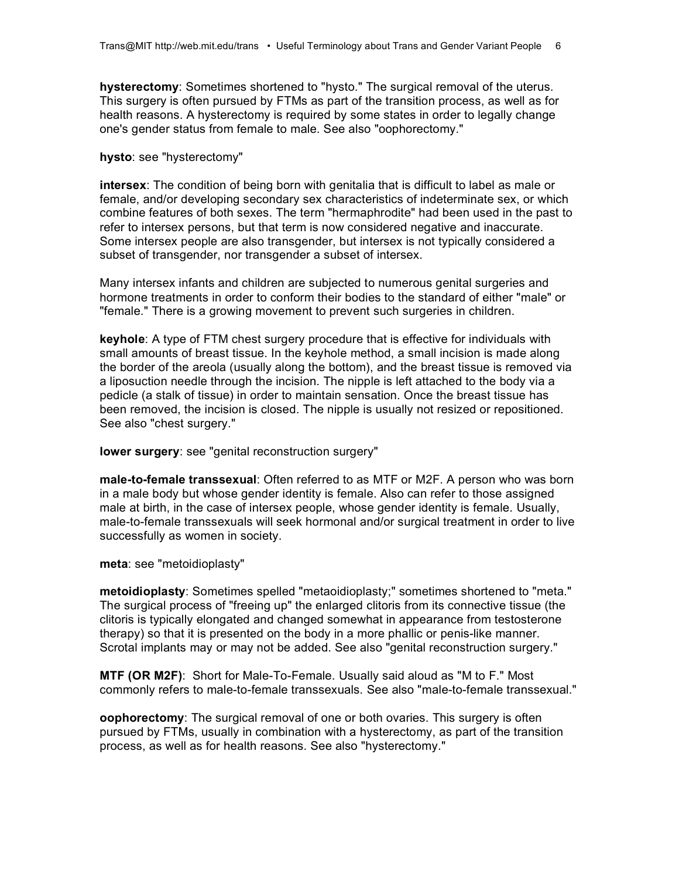**hysterectomy**: Sometimes shortened to "hysto." The surgical removal of the uterus. This surgery is often pursued by FTMs as part of the transition process, as well as for health reasons. A hysterectomy is required by some states in order to legally change one's gender status from female to male. See also "oophorectomy."

#### **hysto**: see "hysterectomy"

**intersex**: The condition of being born with genitalia that is difficult to label as male or female, and/or developing secondary sex characteristics of indeterminate sex, or which combine features of both sexes. The term "hermaphrodite" had been used in the past to refer to intersex persons, but that term is now considered negative and inaccurate. Some intersex people are also transgender, but intersex is not typically considered a subset of transgender, nor transgender a subset of intersex.

Many intersex infants and children are subjected to numerous genital surgeries and hormone treatments in order to conform their bodies to the standard of either "male" or "female." There is a growing movement to prevent such surgeries in children.

**keyhole**: A type of FTM chest surgery procedure that is effective for individuals with small amounts of breast tissue. In the keyhole method, a small incision is made along the border of the areola (usually along the bottom), and the breast tissue is removed via a liposuction needle through the incision. The nipple is left attached to the body via a pedicle (a stalk of tissue) in order to maintain sensation. Once the breast tissue has been removed, the incision is closed. The nipple is usually not resized or repositioned. See also "chest surgery."

## **lower surgery**: see "genital reconstruction surgery"

**male-to-female transsexual**: Often referred to as MTF or M2F. A person who was born in a male body but whose gender identity is female. Also can refer to those assigned male at birth, in the case of intersex people, whose gender identity is female. Usually, male-to-female transsexuals will seek hormonal and/or surgical treatment in order to live successfully as women in society.

**meta**: see "metoidioplasty"

**metoidioplasty**: Sometimes spelled "metaoidioplasty;" sometimes shortened to "meta." The surgical process of "freeing up" the enlarged clitoris from its connective tissue (the clitoris is typically elongated and changed somewhat in appearance from testosterone therapy) so that it is presented on the body in a more phallic or penis-like manner. Scrotal implants may or may not be added. See also "genital reconstruction surgery."

**MTF (OR M2F)**: Short for Male-To-Female. Usually said aloud as "M to F." Most commonly refers to male-to-female transsexuals. See also "male-to-female transsexual."

**oophorectomy**: The surgical removal of one or both ovaries. This surgery is often pursued by FTMs, usually in combination with a hysterectomy, as part of the transition process, as well as for health reasons. See also "hysterectomy."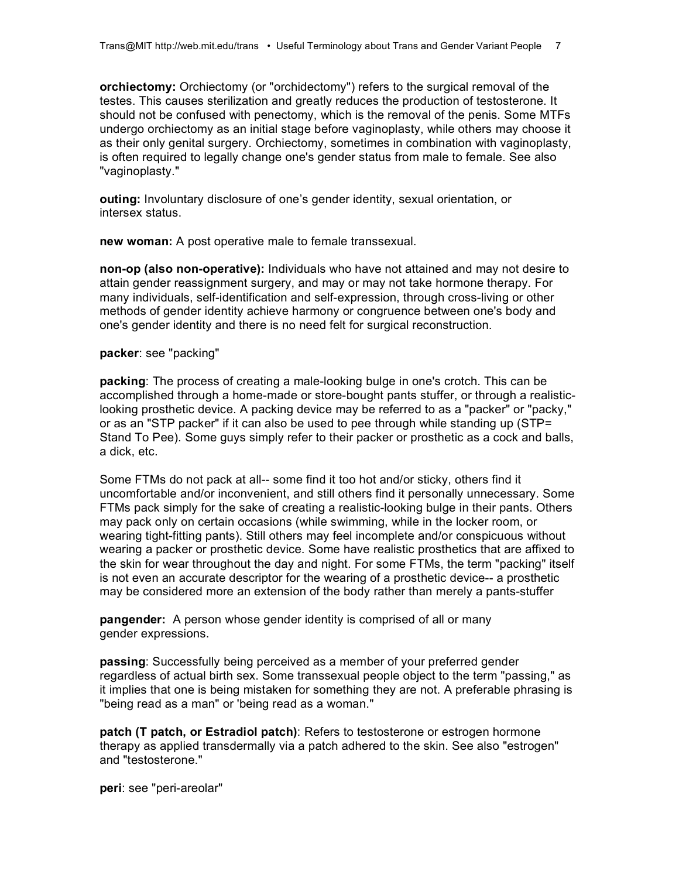**orchiectomy:** Orchiectomy (or "orchidectomy") refers to the surgical removal of the testes. This causes sterilization and greatly reduces the production of testosterone. It should not be confused with penectomy, which is the removal of the penis. Some MTFs undergo orchiectomy as an initial stage before vaginoplasty, while others may choose it as their only genital surgery. Orchiectomy, sometimes in combination with vaginoplasty, is often required to legally change one's gender status from male to female. See also "vaginoplasty."

**outing:** Involuntary disclosure of one's gender identity, sexual orientation, or intersex status.

**new woman:** A post operative male to female transsexual.

**non-op (also non-operative):** Individuals who have not attained and may not desire to attain gender reassignment surgery, and may or may not take hormone therapy. For many individuals, self-identification and self-expression, through cross-living or other methods of gender identity achieve harmony or congruence between one's body and one's gender identity and there is no need felt for surgical reconstruction.

## **packer**: see "packing"

**packing**: The process of creating a male-looking bulge in one's crotch. This can be accomplished through a home-made or store-bought pants stuffer, or through a realisticlooking prosthetic device. A packing device may be referred to as a "packer" or "packy," or as an "STP packer" if it can also be used to pee through while standing up (STP= Stand To Pee). Some guys simply refer to their packer or prosthetic as a cock and balls, a dick, etc.

Some FTMs do not pack at all-- some find it too hot and/or sticky, others find it uncomfortable and/or inconvenient, and still others find it personally unnecessary. Some FTMs pack simply for the sake of creating a realistic-looking bulge in their pants. Others may pack only on certain occasions (while swimming, while in the locker room, or wearing tight-fitting pants). Still others may feel incomplete and/or conspicuous without wearing a packer or prosthetic device. Some have realistic prosthetics that are affixed to the skin for wear throughout the day and night. For some FTMs, the term "packing" itself is not even an accurate descriptor for the wearing of a prosthetic device-- a prosthetic may be considered more an extension of the body rather than merely a pants-stuffer

**pangender:** A person whose gender identity is comprised of all or many gender expressions.

**passing**: Successfully being perceived as a member of your preferred gender regardless of actual birth sex. Some transsexual people object to the term "passing," as it implies that one is being mistaken for something they are not. A preferable phrasing is "being read as a man" or 'being read as a woman."

**patch (T patch, or Estradiol patch)**: Refers to testosterone or estrogen hormone therapy as applied transdermally via a patch adhered to the skin. See also "estrogen" and "testosterone."

**peri**: see "peri-areolar"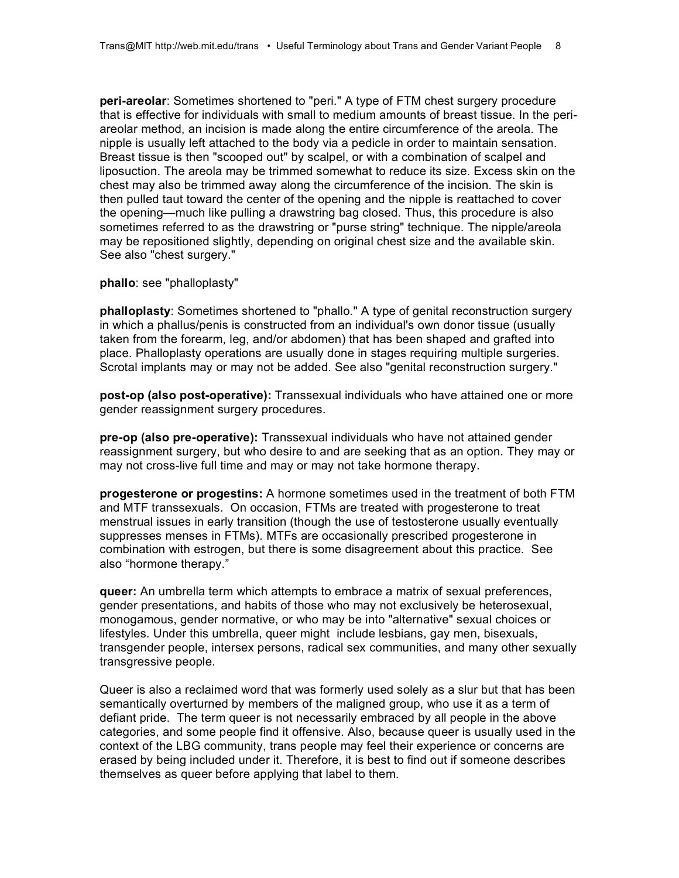**peri-areolar**: Sometimes shortened to "peri." A type of FTM chest surgery procedure that is effective for individuals with small to medium amounts of breast tissue. In the periareolar method, an incision is made along the entire circumference of the areola. The nipple is usually left attached to the body via a pedicle in order to maintain sensation. Breast tissue is then "scooped out" by scalpel, or with a combination of scalpel and liposuction. The areola may be trimmed somewhat to reduce its size. Excess skin on the chest may also be trimmed away along the circumference of the incision. The skin is then pulled taut toward the center of the opening and the nipple is reattached to cover the opening—much like pulling a drawstring bag closed. Thus, this procedure is also sometimes referred to as the drawstring or "purse string" technique. The nipple/areola may be repositioned slightly, depending on original chest size and the available skin. See also "chest surgery."

**phallo**: see "phalloplasty"

**phalloplasty**: Sometimes shortened to "phallo." A type of genital reconstruction surgery in which a phallus/penis is constructed from an individual's own donor tissue (usually taken from the forearm, leg, and/or abdomen) that has been shaped and grafted into place. Phalloplasty operations are usually done in stages requiring multiple surgeries. Scrotal implants may or may not be added. See also "genital reconstruction surgery."

**post-op (also post-operative):** Transsexual individuals who have attained one or more gender reassignment surgery procedures.

**pre-op (also pre-operative):** Transsexual individuals who have not attained gender reassignment surgery, but who desire to and are seeking that as an option. They may or may not cross-live full time and may or may not take hormone therapy.

**progesterone or progestins:** A hormone sometimes used in the treatment of both FTM and MTF transsexuals. On occasion, FTMs are treated with progesterone to treat menstrual issues in early transition (though the use of testosterone usually eventually suppresses menses in FTMs). MTFs are occasionally prescribed progesterone in combination with estrogen, but there is some disagreement about this practice. See also "hormone therapy."

**queer:** An umbrella term which attempts to embrace a matrix of sexual preferences, gender presentations, and habits of those who may not exclusively be heterosexual, monogamous, gender normative, or who may be into "alternative" sexual choices or lifestyles. Under this umbrella, queer might include lesbians, gay men, bisexuals, transgender people, intersex persons, radical sex communities, and many other sexually transgressive people.

Queer is also a reclaimed word that was formerly used solely as a slur but that has been semantically overturned by members of the maligned group, who use it as a term of defiant pride. The term queer is not necessarily embraced by all people in the above categories, and some people find it offensive. Also, because queer is usually used in the context of the LBG community, trans people may feel their experience or concerns are erased by being included under it. Therefore, it is best to find out if someone describes themselves as queer before applying that label to them.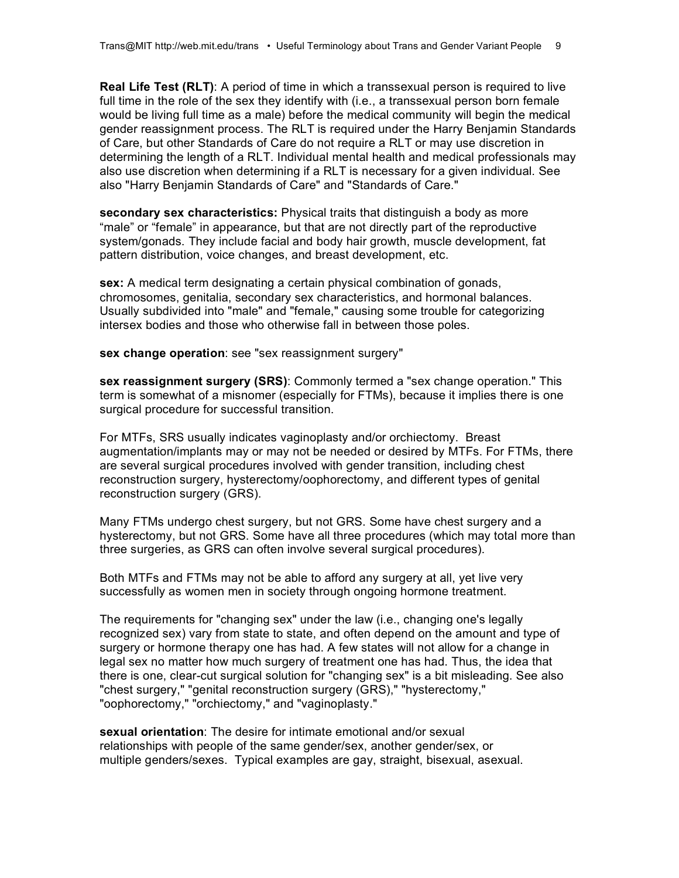**Real Life Test (RLT)**: A period of time in which a transsexual person is required to live full time in the role of the sex they identify with (i.e., a transsexual person born female would be living full time as a male) before the medical community will begin the medical gender reassignment process. The RLT is required under the Harry Benjamin Standards of Care, but other Standards of Care do not require a RLT or may use discretion in determining the length of a RLT. Individual mental health and medical professionals may also use discretion when determining if a RLT is necessary for a given individual. See also "Harry Benjamin Standards of Care" and "Standards of Care."

**secondary sex characteristics:** Physical traits that distinguish a body as more "male" or "female" in appearance, but that are not directly part of the reproductive system/gonads. They include facial and body hair growth, muscle development, fat pattern distribution, voice changes, and breast development, etc.

**sex:** A medical term designating a certain physical combination of gonads, chromosomes, genitalia, secondary sex characteristics, and hormonal balances. Usually subdivided into "male" and "female," causing some trouble for categorizing intersex bodies and those who otherwise fall in between those poles.

**sex change operation**: see "sex reassignment surgery"

**sex reassignment surgery (SRS)**: Commonly termed a "sex change operation." This term is somewhat of a misnomer (especially for FTMs), because it implies there is one surgical procedure for successful transition.

For MTFs, SRS usually indicates vaginoplasty and/or orchiectomy. Breast augmentation/implants may or may not be needed or desired by MTFs. For FTMs, there are several surgical procedures involved with gender transition, including chest reconstruction surgery, hysterectomy/oophorectomy, and different types of genital reconstruction surgery (GRS).

Many FTMs undergo chest surgery, but not GRS. Some have chest surgery and a hysterectomy, but not GRS. Some have all three procedures (which may total more than three surgeries, as GRS can often involve several surgical procedures).

Both MTFs and FTMs may not be able to afford any surgery at all, yet live very successfully as women men in society through ongoing hormone treatment.

The requirements for "changing sex" under the law (i.e., changing one's legally recognized sex) vary from state to state, and often depend on the amount and type of surgery or hormone therapy one has had. A few states will not allow for a change in legal sex no matter how much surgery of treatment one has had. Thus, the idea that there is one, clear-cut surgical solution for "changing sex" is a bit misleading. See also "chest surgery," "genital reconstruction surgery (GRS)," "hysterectomy," "oophorectomy," "orchiectomy," and "vaginoplasty."

**sexual orientation**: The desire for intimate emotional and/or sexual relationships with people of the same gender/sex, another gender/sex, or multiple genders/sexes. Typical examples are gay, straight, bisexual, asexual.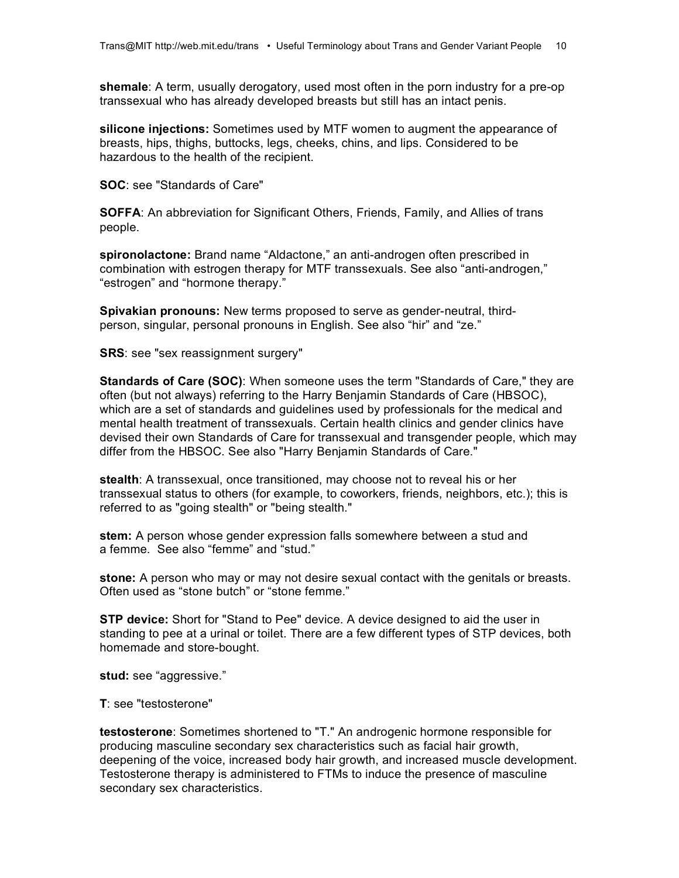**shemale**: A term, usually derogatory, used most often in the porn industry for a pre-op transsexual who has already developed breasts but still has an intact penis.

**silicone injections:** Sometimes used by MTF women to augment the appearance of breasts, hips, thighs, buttocks, legs, cheeks, chins, and lips. Considered to be hazardous to the health of the recipient.

**SOC**: see "Standards of Care"

**SOFFA**: An abbreviation for Significant Others, Friends, Family, and Allies of trans people.

**spironolactone:** Brand name "Aldactone," an anti-androgen often prescribed in combination with estrogen therapy for MTF transsexuals. See also "anti-androgen," "estrogen" and "hormone therapy."

**Spivakian pronouns:** New terms proposed to serve as gender-neutral, thirdperson, singular, personal pronouns in English. See also "hir" and "ze."

**SRS**: see "sex reassignment surgery"

**Standards of Care (SOC)**: When someone uses the term "Standards of Care," they are often (but not always) referring to the Harry Benjamin Standards of Care (HBSOC), which are a set of standards and guidelines used by professionals for the medical and mental health treatment of transsexuals. Certain health clinics and gender clinics have devised their own Standards of Care for transsexual and transgender people, which may differ from the HBSOC. See also "Harry Benjamin Standards of Care."

**stealth**: A transsexual, once transitioned, may choose not to reveal his or her transsexual status to others (for example, to coworkers, friends, neighbors, etc.); this is referred to as "going stealth" or "being stealth."

**stem:** A person whose gender expression falls somewhere between a stud and a femme. See also "femme" and "stud."

**stone:** A person who may or may not desire sexual contact with the genitals or breasts. Often used as "stone butch" or "stone femme."

**STP device:** Short for "Stand to Pee" device. A device designed to aid the user in standing to pee at a urinal or toilet. There are a few different types of STP devices, both homemade and store-bought.

**stud:** see "aggressive."

**T**: see "testosterone"

**testosterone**: Sometimes shortened to "T." An androgenic hormone responsible for producing masculine secondary sex characteristics such as facial hair growth, deepening of the voice, increased body hair growth, and increased muscle development. Testosterone therapy is administered to FTMs to induce the presence of masculine secondary sex characteristics.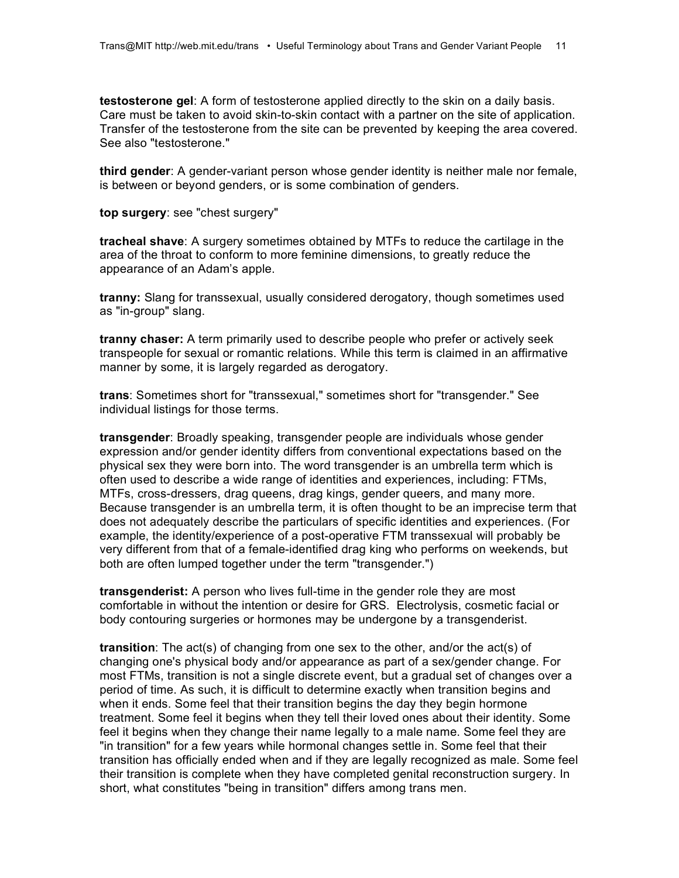**testosterone gel**: A form of testosterone applied directly to the skin on a daily basis. Care must be taken to avoid skin-to-skin contact with a partner on the site of application. Transfer of the testosterone from the site can be prevented by keeping the area covered. See also "testosterone."

**third gender**: A gender-variant person whose gender identity is neither male nor female, is between or beyond genders, or is some combination of genders.

**top surgery**: see "chest surgery"

**tracheal shave**: A surgery sometimes obtained by MTFs to reduce the cartilage in the area of the throat to conform to more feminine dimensions, to greatly reduce the appearance of an Adam's apple.

**tranny:** Slang for transsexual, usually considered derogatory, though sometimes used as "in-group" slang.

**tranny chaser:** A term primarily used to describe people who prefer or actively seek transpeople for sexual or romantic relations. While this term is claimed in an affirmative manner by some, it is largely regarded as derogatory.

**trans**: Sometimes short for "transsexual," sometimes short for "transgender." See individual listings for those terms.

**transgender**: Broadly speaking, transgender people are individuals whose gender expression and/or gender identity differs from conventional expectations based on the physical sex they were born into. The word transgender is an umbrella term which is often used to describe a wide range of identities and experiences, including: FTMs, MTFs, cross-dressers, drag queens, drag kings, gender queers, and many more. Because transgender is an umbrella term, it is often thought to be an imprecise term that does not adequately describe the particulars of specific identities and experiences. (For example, the identity/experience of a post-operative FTM transsexual will probably be very different from that of a female-identified drag king who performs on weekends, but both are often lumped together under the term "transgender.")

**transgenderist:** A person who lives full-time in the gender role they are most comfortable in without the intention or desire for GRS. Electrolysis, cosmetic facial or body contouring surgeries or hormones may be undergone by a transgenderist.

**transition**: The act(s) of changing from one sex to the other, and/or the act(s) of changing one's physical body and/or appearance as part of a sex/gender change. For most FTMs, transition is not a single discrete event, but a gradual set of changes over a period of time. As such, it is difficult to determine exactly when transition begins and when it ends. Some feel that their transition begins the day they begin hormone treatment. Some feel it begins when they tell their loved ones about their identity. Some feel it begins when they change their name legally to a male name. Some feel they are "in transition" for a few years while hormonal changes settle in. Some feel that their transition has officially ended when and if they are legally recognized as male. Some feel their transition is complete when they have completed genital reconstruction surgery. In short, what constitutes "being in transition" differs among trans men.